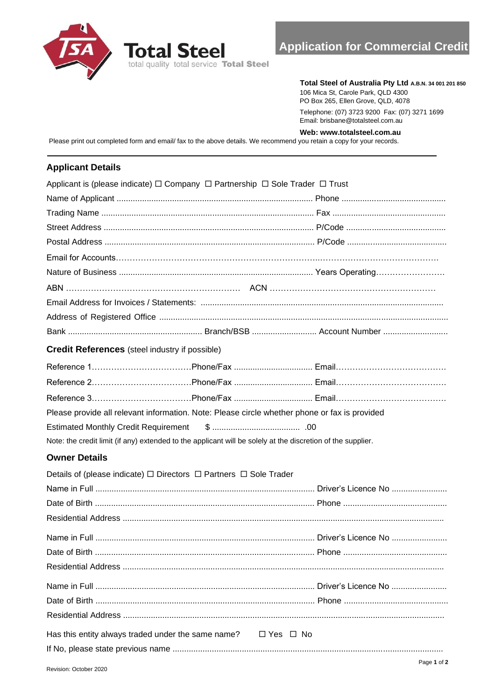



### **Total Steel of Australia Pty Ltd A.B.N. 34 001 201 850** 106 Mica St, Carole Park, QLD 4300

PO Box 265, Ellen Grove, QLD, 4078

Telephone: (07) 3723 9200 Fax: (07) 3271 1699 Email: brisbane@totalsteel.com.au

#### **Web: www.totalsteel.com.au**

Please print out completed form and email/ fax to the above details. We recommend you retain a copy for your records.

# **Applicant Details**

| Applicant is (please indicate) □ Company □ Partnership □ Sole Trader □ Trust                                |  |  |  |  |  |
|-------------------------------------------------------------------------------------------------------------|--|--|--|--|--|
|                                                                                                             |  |  |  |  |  |
|                                                                                                             |  |  |  |  |  |
|                                                                                                             |  |  |  |  |  |
|                                                                                                             |  |  |  |  |  |
|                                                                                                             |  |  |  |  |  |
|                                                                                                             |  |  |  |  |  |
|                                                                                                             |  |  |  |  |  |
|                                                                                                             |  |  |  |  |  |
|                                                                                                             |  |  |  |  |  |
|                                                                                                             |  |  |  |  |  |
| <b>Credit References</b> (steel industry if possible)                                                       |  |  |  |  |  |
|                                                                                                             |  |  |  |  |  |
|                                                                                                             |  |  |  |  |  |
|                                                                                                             |  |  |  |  |  |
| Please provide all relevant information. Note: Please circle whether phone or fax is provided               |  |  |  |  |  |
|                                                                                                             |  |  |  |  |  |
| Note: the credit limit (if any) extended to the applicant will be solely at the discretion of the supplier. |  |  |  |  |  |
| <b>Owner Details</b>                                                                                        |  |  |  |  |  |
| Details of (please indicate) $\Box$ Directors $\Box$ Partners $\Box$ Sole Trader                            |  |  |  |  |  |
|                                                                                                             |  |  |  |  |  |
|                                                                                                             |  |  |  |  |  |
|                                                                                                             |  |  |  |  |  |
|                                                                                                             |  |  |  |  |  |
|                                                                                                             |  |  |  |  |  |
|                                                                                                             |  |  |  |  |  |
|                                                                                                             |  |  |  |  |  |
|                                                                                                             |  |  |  |  |  |
|                                                                                                             |  |  |  |  |  |
| Has this entity always traded under the same name? $\square$ Yes $\square$ No                               |  |  |  |  |  |
|                                                                                                             |  |  |  |  |  |